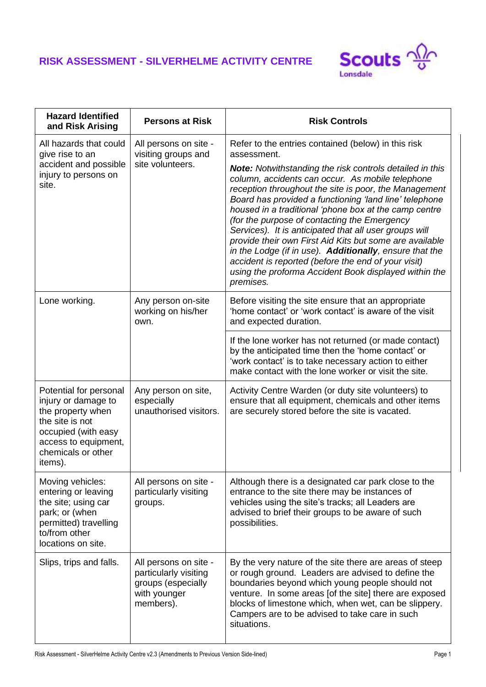## **RISK ASSESSMENT - SILVERHELME ACTIVITY CENTRE**



| <b>Hazard Identified</b><br>and Risk Arising                                                                                                                          | <b>Persons at Risk</b>                                                                            | <b>Risk Controls</b>                                                                                                                                                                                                                                                                                                                                                                                                                                                                                                                                                                                                                                         |
|-----------------------------------------------------------------------------------------------------------------------------------------------------------------------|---------------------------------------------------------------------------------------------------|--------------------------------------------------------------------------------------------------------------------------------------------------------------------------------------------------------------------------------------------------------------------------------------------------------------------------------------------------------------------------------------------------------------------------------------------------------------------------------------------------------------------------------------------------------------------------------------------------------------------------------------------------------------|
| All hazards that could<br>give rise to an                                                                                                                             | All persons on site -<br>visiting groups and                                                      | Refer to the entries contained (below) in this risk<br>assessment.                                                                                                                                                                                                                                                                                                                                                                                                                                                                                                                                                                                           |
| accident and possible<br>injury to persons on<br>site.                                                                                                                | site volunteers.                                                                                  | <b>Note:</b> Notwithstanding the risk controls detailed in this<br>column, accidents can occur. As mobile telephone<br>reception throughout the site is poor, the Management<br>Board has provided a functioning 'land line' telephone<br>housed in a traditional 'phone box at the camp centre<br>(for the purpose of contacting the Emergency<br>Services). It is anticipated that all user groups will<br>provide their own First Aid Kits but some are available<br>in the Lodge (if in use). Additionally, ensure that the<br>accident is reported (before the end of your visit)<br>using the proforma Accident Book displayed within the<br>premises. |
| Lone working.                                                                                                                                                         | Any person on-site<br>working on his/her<br>own.                                                  | Before visiting the site ensure that an appropriate<br>'home contact' or 'work contact' is aware of the visit<br>and expected duration.                                                                                                                                                                                                                                                                                                                                                                                                                                                                                                                      |
|                                                                                                                                                                       |                                                                                                   | If the lone worker has not returned (or made contact)<br>by the anticipated time then the 'home contact' or<br>'work contact' is to take necessary action to either<br>make contact with the lone worker or visit the site.                                                                                                                                                                                                                                                                                                                                                                                                                                  |
| Potential for personal<br>injury or damage to<br>the property when<br>the site is not<br>occupied (with easy<br>access to equipment,<br>chemicals or other<br>items). | Any person on site,<br>especially<br>unauthorised visitors.                                       | Activity Centre Warden (or duty site volunteers) to<br>ensure that all equipment, chemicals and other items<br>are securely stored before the site is vacated.                                                                                                                                                                                                                                                                                                                                                                                                                                                                                               |
| Moving vehicles:<br>entering or leaving<br>the site; using car<br>park; or (when<br>permitted) travelling<br>to/from other<br>locations on site.                      | All persons on site -<br>particularly visiting<br>groups.                                         | Although there is a designated car park close to the<br>entrance to the site there may be instances of<br>vehicles using the site's tracks; all Leaders are<br>advised to brief their groups to be aware of such<br>possibilities.                                                                                                                                                                                                                                                                                                                                                                                                                           |
| Slips, trips and falls.                                                                                                                                               | All persons on site -<br>particularly visiting<br>groups (especially<br>with younger<br>members). | By the very nature of the site there are areas of steep<br>or rough ground. Leaders are advised to define the<br>boundaries beyond which young people should not<br>venture. In some areas [of the site] there are exposed<br>blocks of limestone which, when wet, can be slippery.<br>Campers are to be advised to take care in such<br>situations.                                                                                                                                                                                                                                                                                                         |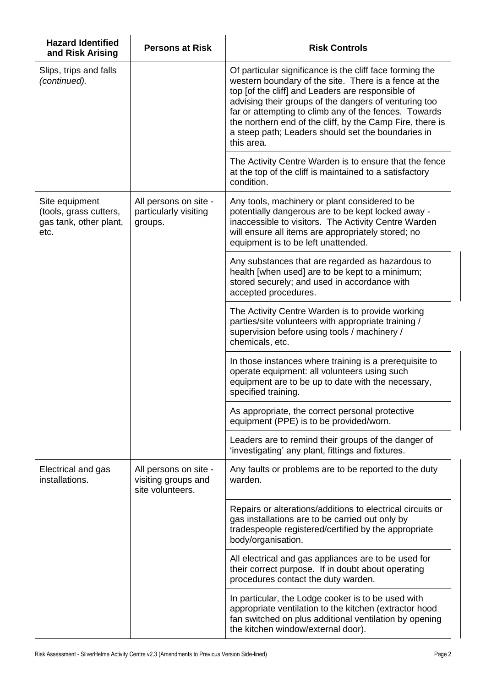| <b>Hazard Identified</b><br>and Risk Arising                               | <b>Persons at Risk</b>                                           | <b>Risk Controls</b>                                                                                                                                                                                                                                                                                                                                                                                                      |
|----------------------------------------------------------------------------|------------------------------------------------------------------|---------------------------------------------------------------------------------------------------------------------------------------------------------------------------------------------------------------------------------------------------------------------------------------------------------------------------------------------------------------------------------------------------------------------------|
| Slips, trips and falls<br>(continued).                                     |                                                                  | Of particular significance is the cliff face forming the<br>western boundary of the site. There is a fence at the<br>top [of the cliff] and Leaders are responsible of<br>advising their groups of the dangers of venturing too<br>far or attempting to climb any of the fences. Towards<br>the northern end of the cliff, by the Camp Fire, there is<br>a steep path; Leaders should set the boundaries in<br>this area. |
|                                                                            |                                                                  | The Activity Centre Warden is to ensure that the fence<br>at the top of the cliff is maintained to a satisfactory<br>condition.                                                                                                                                                                                                                                                                                           |
| Site equipment<br>(tools, grass cutters,<br>gas tank, other plant,<br>etc. | All persons on site -<br>particularly visiting<br>groups.        | Any tools, machinery or plant considered to be<br>potentially dangerous are to be kept locked away -<br>inaccessible to visitors. The Activity Centre Warden<br>will ensure all items are appropriately stored; no<br>equipment is to be left unattended.                                                                                                                                                                 |
|                                                                            |                                                                  | Any substances that are regarded as hazardous to<br>health [when used] are to be kept to a minimum;<br>stored securely; and used in accordance with<br>accepted procedures.                                                                                                                                                                                                                                               |
|                                                                            |                                                                  | The Activity Centre Warden is to provide working<br>parties/site volunteers with appropriate training /<br>supervision before using tools / machinery /<br>chemicals, etc.                                                                                                                                                                                                                                                |
|                                                                            |                                                                  | In those instances where training is a prerequisite to<br>operate equipment: all volunteers using such<br>equipment are to be up to date with the necessary,<br>specified training.                                                                                                                                                                                                                                       |
|                                                                            |                                                                  | As appropriate, the correct personal protective<br>equipment (PPE) is to be provided/worn.                                                                                                                                                                                                                                                                                                                                |
|                                                                            |                                                                  | Leaders are to remind their groups of the danger of<br>'investigating' any plant, fittings and fixtures.                                                                                                                                                                                                                                                                                                                  |
| Electrical and gas<br>installations.                                       | All persons on site -<br>visiting groups and<br>site volunteers. | Any faults or problems are to be reported to the duty<br>warden.                                                                                                                                                                                                                                                                                                                                                          |
|                                                                            |                                                                  | Repairs or alterations/additions to electrical circuits or<br>gas installations are to be carried out only by<br>tradespeople registered/certified by the appropriate<br>body/organisation.                                                                                                                                                                                                                               |
|                                                                            |                                                                  | All electrical and gas appliances are to be used for<br>their correct purpose. If in doubt about operating<br>procedures contact the duty warden.                                                                                                                                                                                                                                                                         |
|                                                                            |                                                                  | In particular, the Lodge cooker is to be used with<br>appropriate ventilation to the kitchen (extractor hood<br>fan switched on plus additional ventilation by opening<br>the kitchen window/external door).                                                                                                                                                                                                              |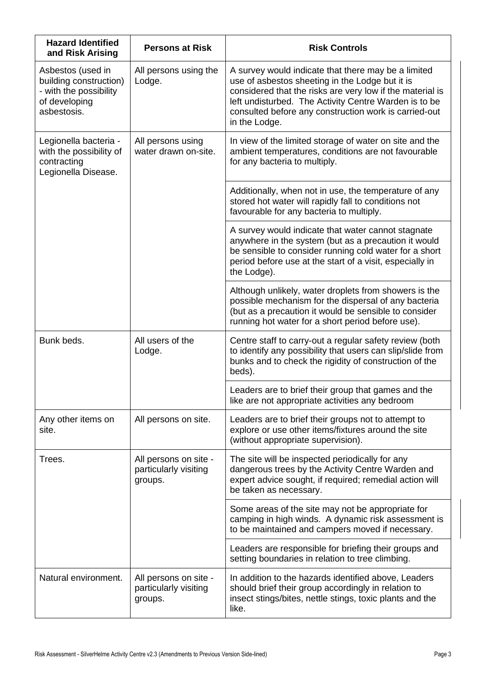| <b>Hazard Identified</b><br>and Risk Arising                                                          | <b>Persons at Risk</b>                                    | <b>Risk Controls</b>                                                                                                                                                                                                                                                                                   |
|-------------------------------------------------------------------------------------------------------|-----------------------------------------------------------|--------------------------------------------------------------------------------------------------------------------------------------------------------------------------------------------------------------------------------------------------------------------------------------------------------|
| Asbestos (used in<br>building construction)<br>- with the possibility<br>of developing<br>asbestosis. | All persons using the<br>Lodge.                           | A survey would indicate that there may be a limited<br>use of asbestos sheeting in the Lodge but it is<br>considered that the risks are very low if the material is<br>left undisturbed. The Activity Centre Warden is to be<br>consulted before any construction work is carried-out<br>in the Lodge. |
| Legionella bacteria -<br>with the possibility of<br>contracting<br>Legionella Disease.                | All persons using<br>water drawn on-site.                 | In view of the limited storage of water on site and the<br>ambient temperatures, conditions are not favourable<br>for any bacteria to multiply.                                                                                                                                                        |
|                                                                                                       |                                                           | Additionally, when not in use, the temperature of any<br>stored hot water will rapidly fall to conditions not<br>favourable for any bacteria to multiply.                                                                                                                                              |
|                                                                                                       |                                                           | A survey would indicate that water cannot stagnate<br>anywhere in the system (but as a precaution it would<br>be sensible to consider running cold water for a short<br>period before use at the start of a visit, especially in<br>the Lodge).                                                        |
|                                                                                                       |                                                           | Although unlikely, water droplets from showers is the<br>possible mechanism for the dispersal of any bacteria<br>(but as a precaution it would be sensible to consider<br>running hot water for a short period before use).                                                                            |
| Bunk beds.                                                                                            | All users of the<br>Lodge.                                | Centre staff to carry-out a regular safety review (both<br>to identify any possibility that users can slip/slide from<br>bunks and to check the rigidity of construction of the<br>beds).                                                                                                              |
|                                                                                                       |                                                           | Leaders are to brief their group that games and the<br>like are not appropriate activities any bedroom                                                                                                                                                                                                 |
| Any other items on<br>site.                                                                           | All persons on site.                                      | Leaders are to brief their groups not to attempt to<br>explore or use other items/fixtures around the site<br>(without appropriate supervision).                                                                                                                                                       |
| Trees.                                                                                                | All persons on site -<br>particularly visiting<br>groups. | The site will be inspected periodically for any<br>dangerous trees by the Activity Centre Warden and<br>expert advice sought, if required; remedial action will<br>be taken as necessary.                                                                                                              |
|                                                                                                       |                                                           | Some areas of the site may not be appropriate for<br>camping in high winds. A dynamic risk assessment is<br>to be maintained and campers moved if necessary.                                                                                                                                           |
|                                                                                                       |                                                           | Leaders are responsible for briefing their groups and<br>setting boundaries in relation to tree climbing.                                                                                                                                                                                              |
| Natural environment.                                                                                  | All persons on site -<br>particularly visiting<br>groups. | In addition to the hazards identified above, Leaders<br>should brief their group accordingly in relation to<br>insect stings/bites, nettle stings, toxic plants and the<br>like.                                                                                                                       |